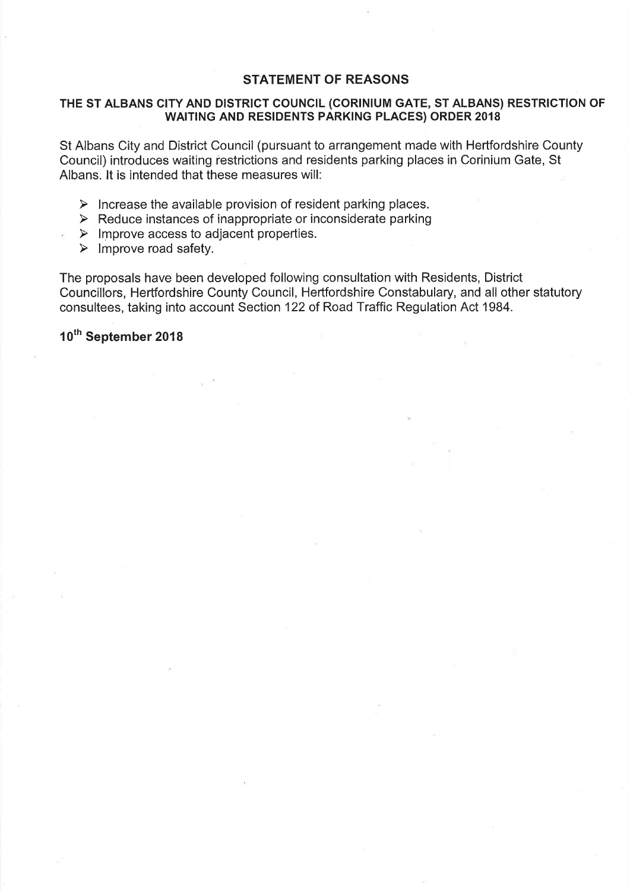### **STATEMENT OF REASONS**

#### THE ST ALBANS CITY AND DISTRICT COUNCIL (CORINIUM GATE, ST ALBANS) RESTRICTION OF **WAITING AND RESIDENTS PARKING PLACES) ORDER 2018**

St Albans City and District Council (pursuant to arrangement made with Hertfordshire County Council) introduces waiting restrictions and residents parking places in Corinium Gate, St Albans. It is intended that these measures will:

- $\triangleright$  Increase the available provision of resident parking places.
- $\triangleright$  Reduce instances of inappropriate or inconsiderate parking
- $\triangleright$  Improve access to adjacent properties.
- $\triangleright$  Improve road safety.

The proposals have been developed following consultation with Residents, District Councillors, Hertfordshire County Council, Hertfordshire Constabulary, and all other statutory consultees, taking into account Section 122 of Road Traffic Regulation Act 1984.

10<sup>th</sup> September 2018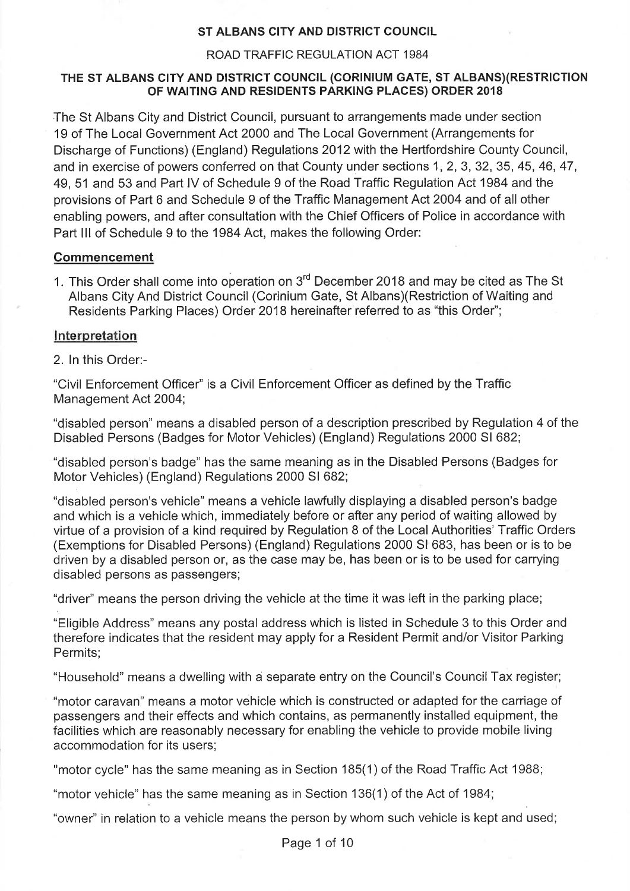### ST ALBANS CITY AND DISTRICT COUNCIL

#### ROAD TRAFFIC REGULATION ACT 1984

#### THE ST ALBANS CITY AND DISTRICT COUNCIL (CORINIUM GATE, ST ALBANS)(RESTRICTION OF WAITING AND RESIDENTS PARKING PLACES) ORDER 2018

The St Albans City and District Council, pursuant to arrangements made under section 19 of The Local Government Act 2000 and The Local Government (Arrangements for Discharge of Functions) (England) Regulations 2012 with the Hertfordshire County Council, and in exercise of powers conferred on that County under sections 1, 2, 3, 32, 35, 45, 46, 47, 49, 51 and 53 and Part IV of Schedule 9 of the Road Traffic Regulation Act 1984 and the provisions of Part 6 and Schedule 9 of the Traffic Management Act 2004 and of all other enabling powers, and after consultation with the Chief Officers of Police in accordance with Part III of Schedule 9 to the 1984 Act, makes the following Order:

#### **Commencement**

1. This Order shall come into operation on 3<sup>rd</sup> December 2018 and may be cited as The St Albans City And District Council (Corinium Gate, St Albans) (Restriction of Waiting and Residents Parking Places) Order 2018 hereinafter referred to as "this Order";

#### Interpretation

2. In this Order:-

"Civil Enforcement Officer" is a Civil Enforcement Officer as defined by the Traffic Management Act 2004;

"disabled person" means a disabled person of a description prescribed by Regulation 4 of the Disabled Persons (Badges for Motor Vehicles) (England) Regulations 2000 SI 682;

"disabled person's badge" has the same meaning as in the Disabled Persons (Badges for Motor Vehicles) (England) Regulations 2000 SI 682;

"disabled person's vehicle" means a vehicle lawfully displaying a disabled person's badge and which is a vehicle which, immediately before or after any period of waiting allowed by virtue of a provision of a kind required by Requlation 8 of the Local Authorities' Traffic Orders (Exemptions for Disabled Persons) (England) Regulations 2000 SI 683, has been or is to be driven by a disabled person or, as the case may be, has been or is to be used for carrying disabled persons as passengers;

"driver" means the person driving the vehicle at the time it was left in the parking place;

"Eligible Address" means any postal address which is listed in Schedule 3 to this Order and therefore indicates that the resident may apply for a Resident Permit and/or Visitor Parking Permits:

"Household" means a dwelling with a separate entry on the Council's Council Tax register;

"motor caravan" means a motor vehicle which is constructed or adapted for the carriage of passengers and their effects and which contains, as permanently installed equipment, the facilities which are reasonably necessary for enabling the vehicle to provide mobile living accommodation for its users;

"motor cycle" has the same meaning as in Section 185(1) of the Road Traffic Act 1988;

"motor vehicle" has the same meaning as in Section 136(1) of the Act of 1984;

"owner" in relation to a vehicle means the person by whom such vehicle is kept and used;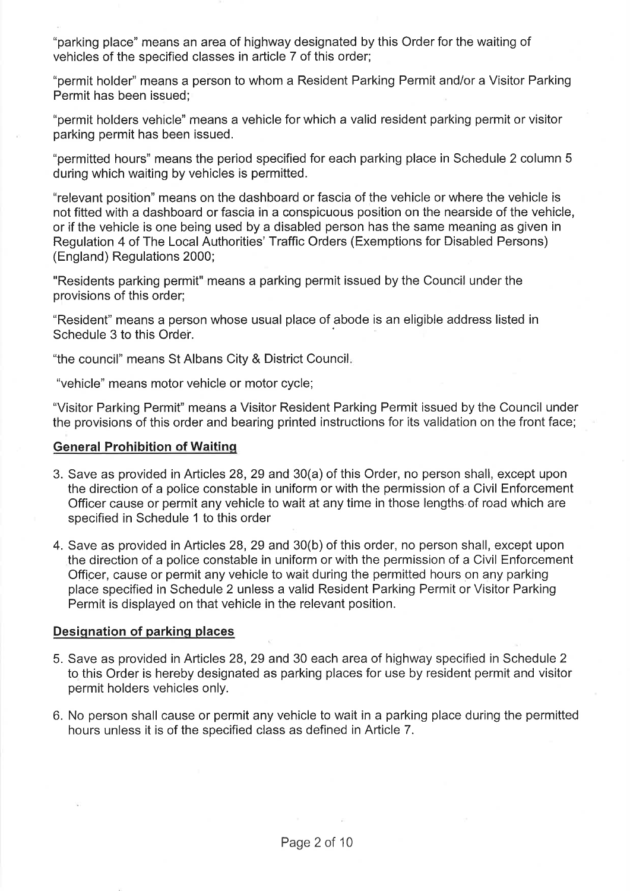"parking place" means an area of highway designated by this Order for the waiting of vehicles of the specified classes in article 7 of this order;

"permit holder" means a person to whom a Resident Parking Permit and/or a Visitor Parking Permit has been issued;

"permit holders vehicle" means a vehicle for which a valid resident parking permit or visitor parking permit has been issued.

"permitted hours" means the period specified for each parking place in Schedule 2 column 5 during which waiting by vehicles is permitted.

"relevant position" means on the dashboard or fascia of the vehicle or where the vehicle is not fitted with a dashboard or fascia in a conspicuous position on the nearside of the vehicle, or if the vehicle is one being used by a disabled person has the same meaning as given in Regulation 4 of The Local Authorities' Traffic Orders (Exemptions for Disabled Persons) (England) Regulations 2000;

"Residents parking permit" means a parking permit issued by the Council under the provisions of this order;

"Resident" means a person whose usual place of abode is an eligible address listed in Schedule 3 to this Order.

"the council" means St Albans City & District Council.

"vehicle" means motor vehicle or motor cycle;

"Visitor Parking Permit" means a Visitor Resident Parking Permit issued by the Council under the provisions of this order and bearing printed instructions for its validation on the front face;

#### **General Prohibition of Waiting**

- 3. Save as provided in Articles 28, 29 and 30(a) of this Order, no person shall, except upon the direction of a police constable in uniform or with the permission of a Civil Enforcement Officer cause or permit any vehicle to wait at any time in those lengths of road which are specified in Schedule 1 to this order
- 4. Save as provided in Articles 28, 29 and 30(b) of this order, no person shall, except upon the direction of a police constable in uniform or with the permission of a Civil Enforcement Officer, cause or permit any vehicle to wait during the permitted hours on any parking place specified in Schedule 2 unless a valid Resident Parking Permit or Visitor Parking Permit is displayed on that vehicle in the relevant position.

#### Designation of parking places

- 5. Save as provided in Articles 28, 29 and 30 each area of highway specified in Schedule 2 to this Order is hereby designated as parking places for use by resident permit and visitor permit holders vehicles only.
- 6. No person shall cause or permit any vehicle to wait in a parking place during the permitted hours unless it is of the specified class as defined in Article 7.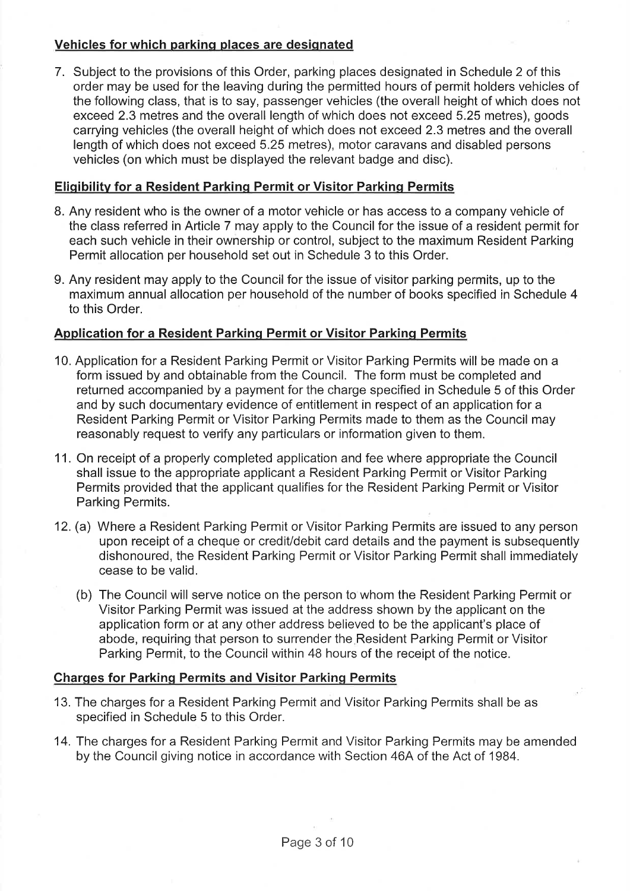# Vehicles for which parking places are designated

7. Subject to the provisions of this Order, parking places designated in Schedule 2 of this order may be used for the leaving during the permitted hours of permit holders vehicles of the following class, that is to say, passenger vehicles (the overall height of which does not exceed 2.3 metres and the overall length of which does not exceed 5.25 metres), goods carrying vehicles (the overall height of which does not exceed 2.3 metres and the overall length of which does not exceed 5.25 metres), motor caravans and disabled persons vehicles (on which must be displayed the relevant badge and disc).

# **Eligibility for a Resident Parking Permit or Visitor Parking Permits**

- 8. Any resident who is the owner of a motor vehicle or has access to a company vehicle of the class referred in Article 7 may apply to the Council for the issue of a resident permit for each such vehicle in their ownership or control, subject to the maximum Resident Parking Permit allocation per household set out in Schedule 3 to this Order.
- 9. Any resident may apply to the Council for the issue of visitor parking permits, up to the maximum annual allocation per household of the number of books specified in Schedule 4 to this Order.

# Application for a Resident Parking Permit or Visitor Parking Permits

- 10. Application for a Resident Parking Permit or Visitor Parking Permits will be made on a form issued by and obtainable from the Council. The form must be completed and returned accompanied by a payment for the charge specified in Schedule 5 of this Order and by such documentary evidence of entitlement in respect of an application for a Resident Parking Permit or Visitor Parking Permits made to them as the Council may reasonably request to verify any particulars or information given to them.
- 11. On receipt of a properly completed application and fee where appropriate the Council shall issue to the appropriate applicant a Resident Parking Permit or Visitor Parking Permits provided that the applicant qualifies for the Resident Parking Permit or Visitor Parking Permits.
- 12. (a) Where a Resident Parking Permit or Visitor Parking Permits are issued to any person upon receipt of a cheque or credit/debit card details and the payment is subsequently dishonoured, the Resident Parking Permit or Visitor Parking Permit shall immediately cease to be valid.
	- (b) The Council will serve notice on the person to whom the Resident Parking Permit or Visitor Parking Permit was issued at the address shown by the applicant on the application form or at any other address believed to be the applicant's place of abode, requiring that person to surrender the Resident Parking Permit or Visitor Parking Permit, to the Council within 48 hours of the receipt of the notice.

# **Charges for Parking Permits and Visitor Parking Permits**

- 13. The charges for a Resident Parking Permit and Visitor Parking Permits shall be as specified in Schedule 5 to this Order.
- 14. The charges for a Resident Parking Permit and Visitor Parking Permits may be amended by the Council giving notice in accordance with Section 46A of the Act of 1984.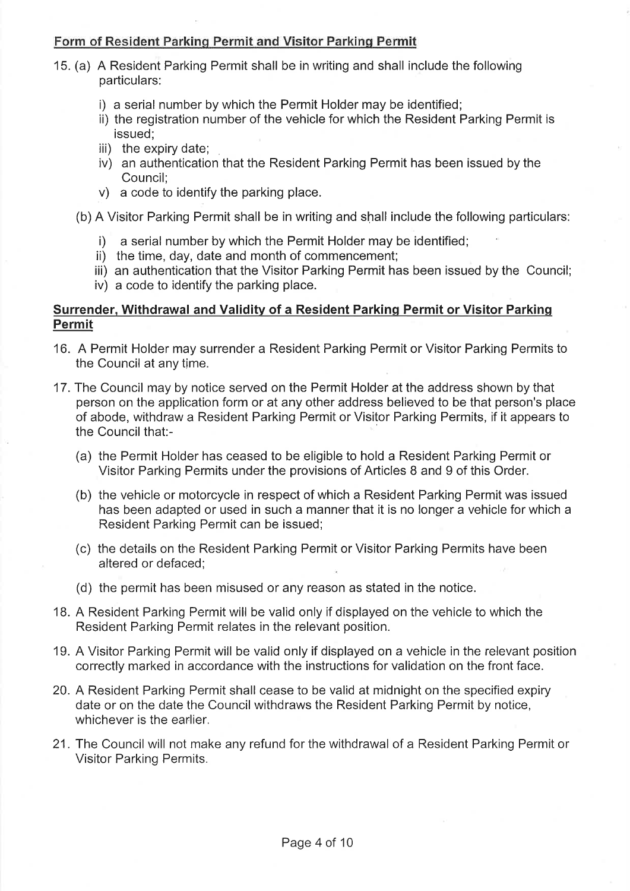### Form of Resident Parking Permit and Visitor Parking Permit

- 15. (a) A Resident Parking Permit shall be in writing and shall include the following particulars:
	- i) a serial number by which the Permit Holder may be identified;
	- ii) the registration number of the vehicle for which the Resident Parking Permit is issued:
	- iii) the expiry date;
	- iv) an authentication that the Resident Parking Permit has been issued by the Council:
	- v) a code to identify the parking place.
	- (b) A Visitor Parking Permit shall be in writing and shall include the following particulars:
		- i) a serial number by which the Permit Holder may be identified;
		- ii) the time, day, date and month of commencement;
		- iii) an authentication that the Visitor Parking Permit has been issued by the Council;
		- iv) a code to identify the parking place.

### Surrender, Withdrawal and Validity of a Resident Parking Permit or Visitor Parking **Permit**

- 16. A Permit Holder may surrender a Resident Parking Permit or Visitor Parking Permits to the Council at any time.
- 17. The Council may by notice served on the Permit Holder at the address shown by that person on the application form or at any other address believed to be that person's place of abode, withdraw a Resident Parking Permit or Visitor Parking Permits, if it appears to the Council that:-
	- (a) the Permit Holder has ceased to be eligible to hold a Resident Parking Permit or Visitor Parking Permits under the provisions of Articles 8 and 9 of this Order.
	- (b) the vehicle or motorcycle in respect of which a Resident Parking Permit was issued has been adapted or used in such a manner that it is no longer a vehicle for which a Resident Parking Permit can be issued;
	- (c) the details on the Resident Parking Permit or Visitor Parking Permits have been altered or defaced;
	- (d) the permit has been misused or any reason as stated in the notice.
- 18. A Resident Parking Permit will be valid only if displayed on the vehicle to which the Resident Parking Permit relates in the relevant position.
- 19. A Visitor Parking Permit will be valid only if displayed on a vehicle in the relevant position correctly marked in accordance with the instructions for validation on the front face.
- 20. A Resident Parking Permit shall cease to be valid at midnight on the specified expiry date or on the date the Council withdraws the Resident Parking Permit by notice, whichever is the earlier.
- 21. The Council will not make any refund for the withdrawal of a Resident Parking Permit or **Visitor Parking Permits.**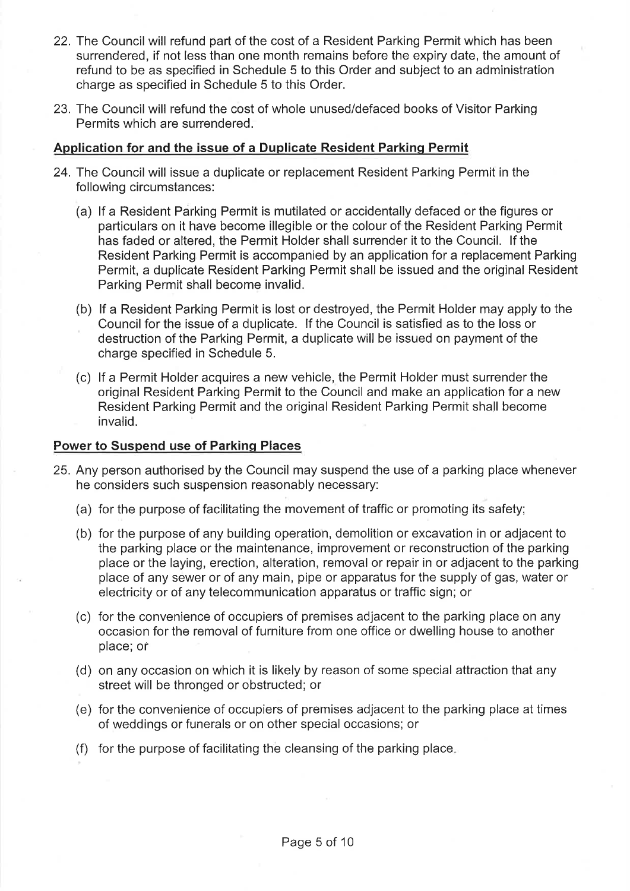- 22. The Council will refund part of the cost of a Resident Parking Permit which has been surrendered, if not less than one month remains before the expiry date, the amount of refund to be as specified in Schedule 5 to this Order and subject to an administration charge as specified in Schedule 5 to this Order.
- 23. The Council will refund the cost of whole unused/defaced books of Visitor Parking Permits which are surrendered.

### Application for and the issue of a Duplicate Resident Parking Permit

- 24. The Council will issue a duplicate or replacement Resident Parking Permit in the following circumstances:
	- (a) If a Resident Parking Permit is mutilated or accidentally defaced or the figures or particulars on it have become illegible or the colour of the Resident Parking Permit has faded or altered, the Permit Holder shall surrender it to the Council. If the Resident Parking Permit is accompanied by an application for a replacement Parking Permit, a duplicate Resident Parking Permit shall be issued and the original Resident Parking Permit shall become invalid.
	- (b) If a Resident Parking Permit is lost or destroyed, the Permit Holder may apply to the Council for the issue of a duplicate. If the Council is satisfied as to the loss or destruction of the Parking Permit, a duplicate will be issued on payment of the charge specified in Schedule 5.
	- (c) If a Permit Holder acquires a new vehicle, the Permit Holder must surrender the original Resident Parking Permit to the Council and make an application for a new Resident Parking Permit and the original Resident Parking Permit shall become invalid.

### **Power to Suspend use of Parking Places**

- 25. Any person authorised by the Council may suspend the use of a parking place whenever he considers such suspension reasonably necessary:
	- (a) for the purpose of facilitating the movement of traffic or promoting its safety;
	- (b) for the purpose of any building operation, demolition or excavation in or adjacent to the parking place or the maintenance, improvement or reconstruction of the parking place or the laving, erection, alteration, removal or repair in or adiacent to the parking place of any sewer or of any main, pipe or apparatus for the supply of gas, water or electricity or of any telecommunication apparatus or traffic sign; or
	- (c) for the convenience of occupiers of premises adjacent to the parking place on any occasion for the removal of furniture from one office or dwelling house to another place; or
	- (d) on any occasion on which it is likely by reason of some special attraction that any street will be thronged or obstructed; or
	- (e) for the convenience of occupiers of premises adjacent to the parking place at times of weddings or funerals or on other special occasions; or
	- (f) for the purpose of facilitating the cleansing of the parking place.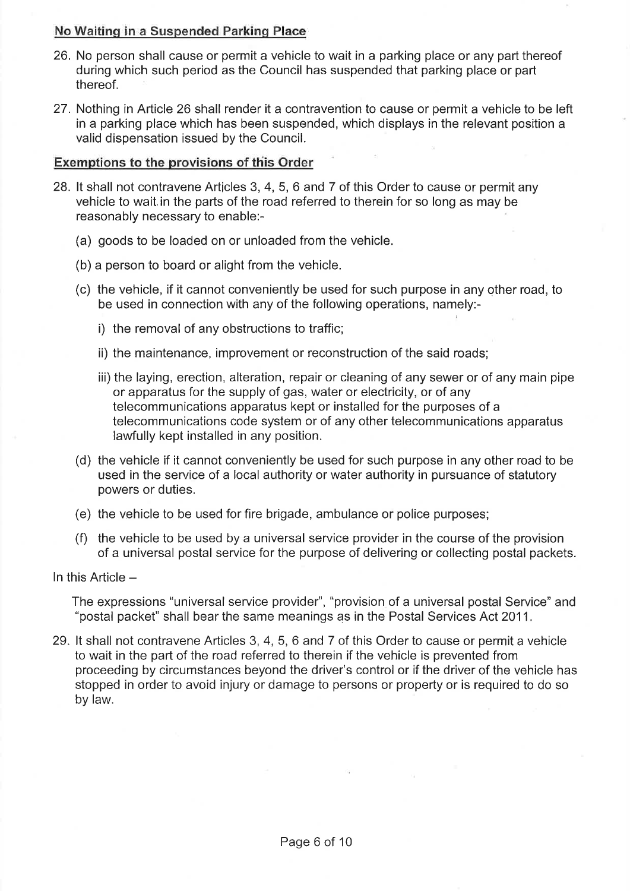### No Waiting in a Suspended Parking Place

- 26. No person shall cause or permit a vehicle to wait in a parking place or any part thereof during which such period as the Council has suspended that parking place or part thereof.
- 27. Nothing in Article 26 shall render it a contravention to cause or permit a vehicle to be left in a parking place which has been suspended, which displays in the relevant position a valid dispensation issued by the Council.

### Exemptions to the provisions of this Order

- 28. It shall not contravene Articles 3, 4, 5, 6 and 7 of this Order to cause or permit any vehicle to wait in the parts of the road referred to therein for so long as may be reasonably necessary to enable:-
	- (a) goods to be loaded on or unloaded from the vehicle.
	- (b) a person to board or alight from the vehicle.
	- (c) the vehicle, if it cannot conveniently be used for such purpose in any other road, to be used in connection with any of the following operations, namely:
		- i) the removal of any obstructions to traffic;
		- ii) the maintenance, improvement or reconstruction of the said roads;
		- iii) the laying, erection, alteration, repair or cleaning of any sewer or of any main pipe or apparatus for the supply of gas, water or electricity, or of any telecommunications apparatus kept or installed for the purposes of a telecommunications code system or of any other telecommunications apparatus lawfully kept installed in any position.
	- (d) the vehicle if it cannot conveniently be used for such purpose in any other road to be used in the service of a local authority or water authority in pursuance of statutory powers or duties.
	- (e) the vehicle to be used for fire brigade, ambulance or police purposes;
	- (f) the vehicle to be used by a universal service provider in the course of the provision of a universal postal service for the purpose of delivering or collecting postal packets.

In this Article -

The expressions "universal service provider", "provision of a universal postal Service" and "postal packet" shall bear the same meanings as in the Postal Services Act 2011.

29. It shall not contravene Articles 3, 4, 5, 6 and 7 of this Order to cause or permit a vehicle to wait in the part of the road referred to therein if the vehicle is prevented from proceeding by circumstances beyond the driver's control or if the driver of the vehicle has stopped in order to avoid injury or damage to persons or property or is required to do so by law.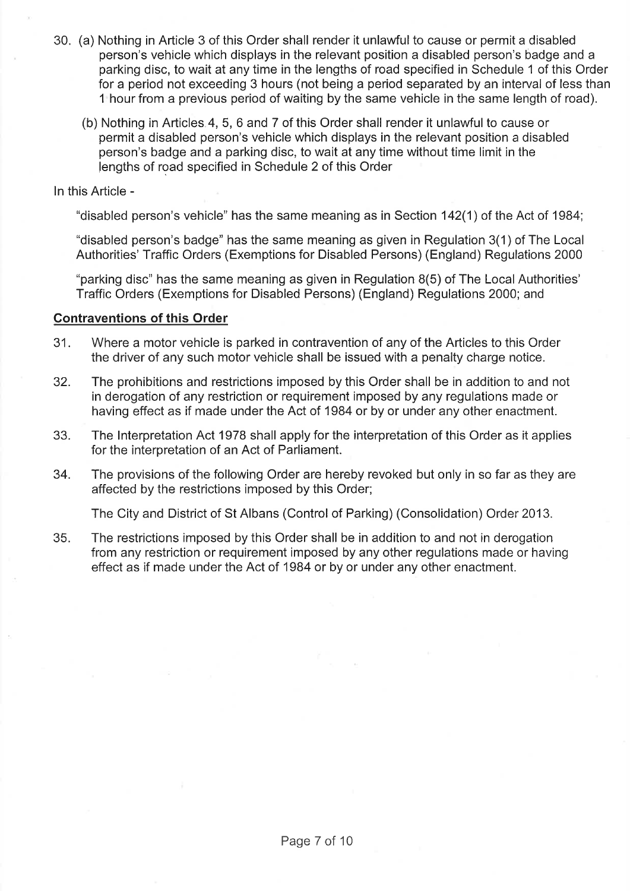- 30. (a) Nothing in Article 3 of this Order shall render it unlawful to cause or permit a disabled person's vehicle which displays in the relevant position a disabled person's badge and a parking disc, to wait at any time in the lengths of road specified in Schedule 1 of this Order for a period not exceeding 3 hours (not being a period separated by an interval of less than 1 hour from a previous period of waiting by the same vehicle in the same length of road).
	- (b) Nothing in Articles 4, 5, 6 and 7 of this Order shall render it unlawful to cause or permit a disabled person's vehicle which displays in the relevant position a disabled person's badge and a parking disc, to wait at any time without time limit in the lengths of road specified in Schedule 2 of this Order

#### In this Article -

"disabled person's vehicle" has the same meaning as in Section 142(1) of the Act of 1984;

"disabled person's badge" has the same meaning as given in Regulation 3(1) of The Local Authorities' Traffic Orders (Exemptions for Disabled Persons) (England) Regulations 2000

"parking disc" has the same meaning as given in Regulation 8(5) of The Local Authorities' Traffic Orders (Exemptions for Disabled Persons) (England) Regulations 2000; and

#### **Contraventions of this Order**

- 31. Where a motor vehicle is parked in contravention of any of the Articles to this Order the driver of any such motor vehicle shall be issued with a penalty charge notice.
- 32. The prohibitions and restrictions imposed by this Order shall be in addition to and not in derogation of any restriction or requirement imposed by any regulations made or having effect as if made under the Act of 1984 or by or under any other enactment.
- 33. The Interpretation Act 1978 shall apply for the interpretation of this Order as it applies for the interpretation of an Act of Parliament.
- 34. The provisions of the following Order are hereby revoked but only in so far as they are affected by the restrictions imposed by this Order;

The City and District of St Albans (Control of Parking) (Consolidation) Order 2013.

35. The restrictions imposed by this Order shall be in addition to and not in derogation from any restriction or requirement imposed by any other regulations made or having effect as if made under the Act of 1984 or by or under any other enactment.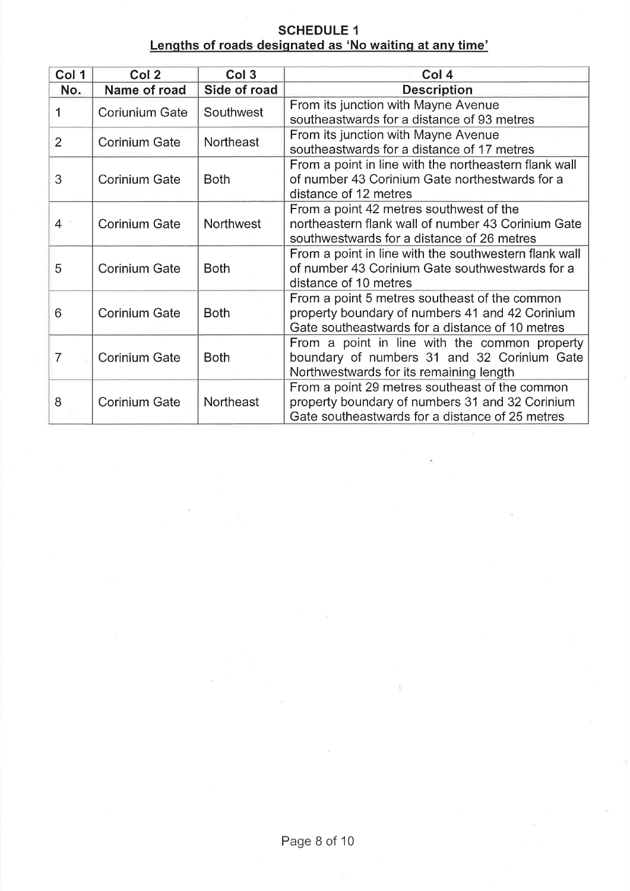# **SCHEDULE 1** Lengths of roads designated as 'No waiting at any time'

| Col 1          | Col 2                 | Col <sub>3</sub> | Col 4                                                                                                                                                |
|----------------|-----------------------|------------------|------------------------------------------------------------------------------------------------------------------------------------------------------|
| No.            | Name of road          | Side of road     | <b>Description</b>                                                                                                                                   |
| 1              | <b>Coriunium Gate</b> | Southwest        | From its junction with Mayne Avenue<br>southeastwards for a distance of 93 metres                                                                    |
| $\overline{2}$ | <b>Corinium Gate</b>  | Northeast        | From its junction with Mayne Avenue<br>southeastwards for a distance of 17 metres                                                                    |
| 3              | <b>Corinium Gate</b>  | <b>Both</b>      | From a point in line with the northeastern flank wall<br>of number 43 Corinium Gate northestwards for a<br>distance of 12 metres                     |
| 4              | <b>Corinium Gate</b>  | <b>Northwest</b> | From a point 42 metres southwest of the<br>northeastern flank wall of number 43 Corinium Gate<br>southwestwards for a distance of 26 metres          |
| 5              | <b>Corinium Gate</b>  | <b>Both</b>      | From a point in line with the southwestern flank wall<br>of number 43 Corinium Gate southwestwards for a<br>distance of 10 metres                    |
| 6              | <b>Corinium Gate</b>  | <b>Both</b>      | From a point 5 metres southeast of the common<br>property boundary of numbers 41 and 42 Corinium<br>Gate southeastwards for a distance of 10 metres  |
| $\overline{7}$ | <b>Corinium Gate</b>  | <b>Both</b>      | From a point in line with the common property<br>boundary of numbers 31 and 32 Corinium Gate<br>Northwestwards for its remaining length              |
| 8              | <b>Corinium Gate</b>  | Northeast        | From a point 29 metres southeast of the common<br>property boundary of numbers 31 and 32 Corinium<br>Gate southeastwards for a distance of 25 metres |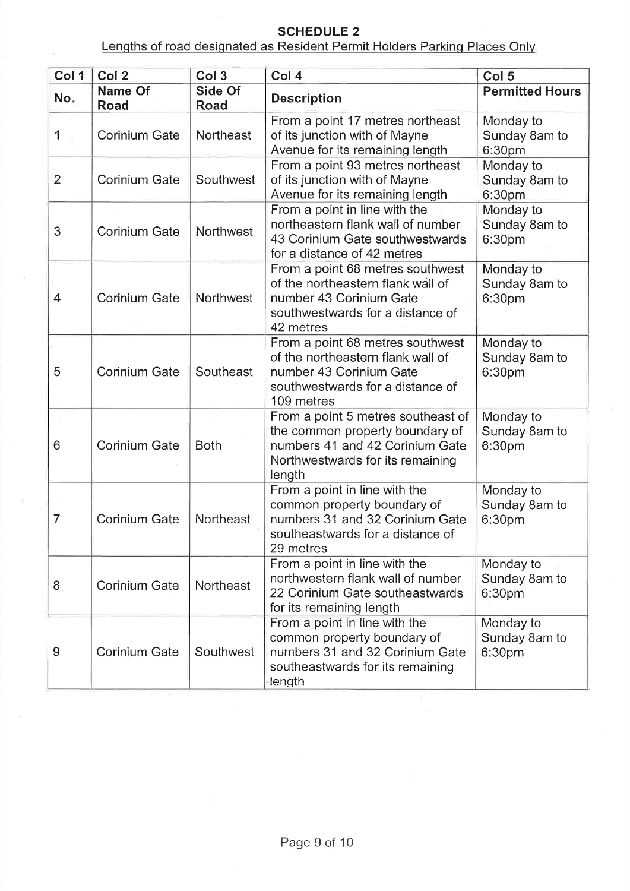# **SCHEDULE 2**

Lengths of road designated as Resident Permit Holders Parking Places Only

| Col 1          | Col <sub>2</sub>              | Col <sub>3</sub> | Col 4                                                                                                                                                  | Col <sub>5</sub>                     |
|----------------|-------------------------------|------------------|--------------------------------------------------------------------------------------------------------------------------------------------------------|--------------------------------------|
| No.            | <b>Name Of</b><br><b>Road</b> | Side Of<br>Road  | <b>Description</b>                                                                                                                                     | <b>Permitted Hours</b>               |
| 1              | <b>Corinium Gate</b>          | Northeast        | From a point 17 metres northeast<br>of its junction with of Mayne<br>Avenue for its remaining length                                                   | Monday to<br>Sunday 8am to<br>6:30pm |
| $\overline{2}$ | <b>Corinium Gate</b>          | Southwest        | From a point 93 metres northeast<br>of its junction with of Mayne<br>Avenue for its remaining length                                                   | Monday to<br>Sunday 8am to<br>6:30pm |
| 3              | <b>Corinium Gate</b>          | Northwest        | From a point in line with the<br>northeastern flank wall of number<br>43 Corinium Gate southwestwards<br>for a distance of 42 metres                   | Monday to<br>Sunday 8am to<br>6:30pm |
| 4              | <b>Corinium Gate</b>          | Northwest        | From a point 68 metres southwest<br>of the northeastern flank wall of<br>number 43 Corinium Gate<br>southwestwards for a distance of<br>42 metres      | Monday to<br>Sunday 8am to<br>6:30pm |
| 5              | <b>Corinium Gate</b>          | Southeast        | From a point 68 metres southwest<br>of the northeastern flank wall of<br>number 43 Corinium Gate<br>southwestwards for a distance of<br>109 metres     | Monday to<br>Sunday 8am to<br>6:30pm |
| 6              | <b>Corinium Gate</b>          | <b>Both</b>      | From a point 5 metres southeast of<br>the common property boundary of<br>numbers 41 and 42 Corinium Gate<br>Northwestwards for its remaining<br>length | Monday to<br>Sunday 8am to<br>6:30pm |
| $\overline{7}$ | <b>Corinium Gate</b>          | Northeast        | From a point in line with the<br>common property boundary of<br>numbers 31 and 32 Corinium Gate<br>southeastwards for a distance of<br>29 metres       | Monday to<br>Sunday 8am to<br>6:30pm |
| 8              | <b>Corinium Gate</b>          | Northeast        | From a point in line with the<br>northwestern flank wall of number<br>22 Corinium Gate southeastwards<br>for its remaining length                      | Monday to<br>Sunday 8am to<br>6:30pm |
| 9              | <b>Corinium Gate</b>          | Southwest        | From a point in line with the<br>common property boundary of<br>numbers 31 and 32 Corinium Gate<br>southeastwards for its remaining<br>length          | Monday to<br>Sunday 8am to<br>6:30pm |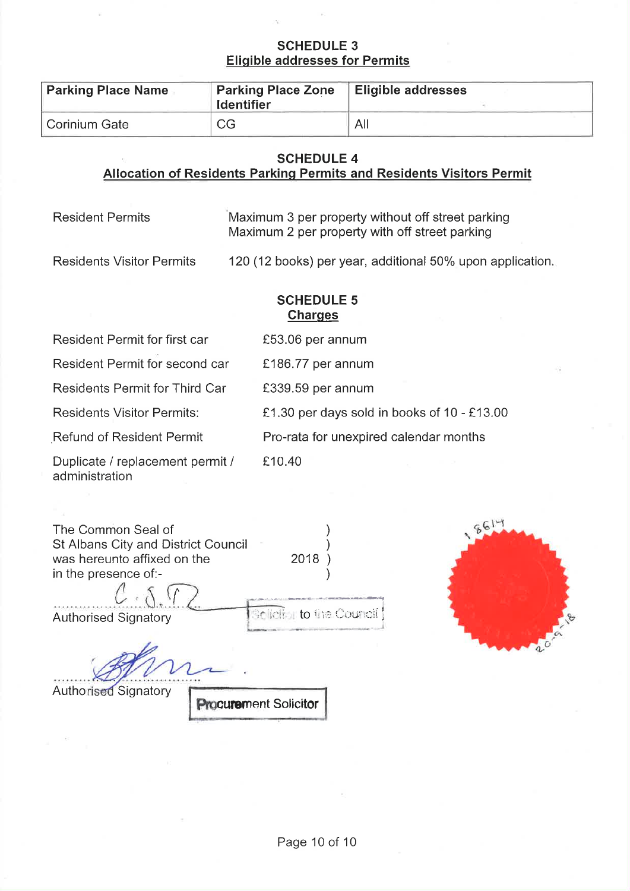### **SCHEDULE 3 Eligible addresses for Permits**

| <b>Parking Place Name</b> | <b>Parking Place Zone</b><br><b>Identifier</b> | <b>Eligible addresses</b> |
|---------------------------|------------------------------------------------|---------------------------|
| Corinium Gate             | <b>CG</b>                                      | All                       |

### **SCHEDULE 4**

# Allocation of Residents Parking Permits and Residents Visitors Permit

| <b>Resident Permits</b> | Maximum 3 per property without off street parking |
|-------------------------|---------------------------------------------------|
|                         | Maximum 2 per property with off street parking    |

**Residents Visitor Permits** 

120 (12 books) per year, additional 50% upon application.

## **SCHEDULE 5 Charges**

| Resident Permit for first car                      | £53.06 per annum                            |
|----------------------------------------------------|---------------------------------------------|
| Resident Permit for second car                     | £186.77 per annum                           |
| <b>Residents Permit for Third Car</b>              | £339.59 per annum                           |
| <b>Residents Visitor Permits:</b>                  | £1.30 per days sold in books of 10 - £13.00 |
| <b>Refund of Resident Permit</b>                   | Pro-rata for unexpired calendar months      |
| Duplicate / replacement permit /<br>administration | £10.40                                      |

| The Common Seal of                  |                          |
|-------------------------------------|--------------------------|
| St Albans City and District Council |                          |
| was hereunto affixed on the         | 2018                     |
| in the presence of:-                |                          |
|                                     |                          |
| <b>Authorised Signatory</b>         | Sellettot to the Council |
|                                     |                          |



Authorised Signatory

 $\alpha$ 

**Procurement Solicitor**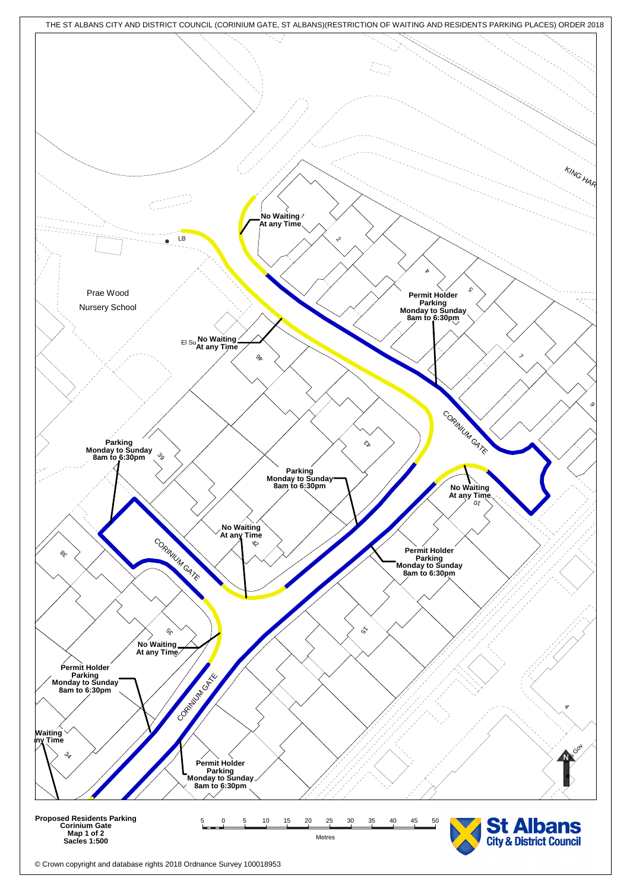